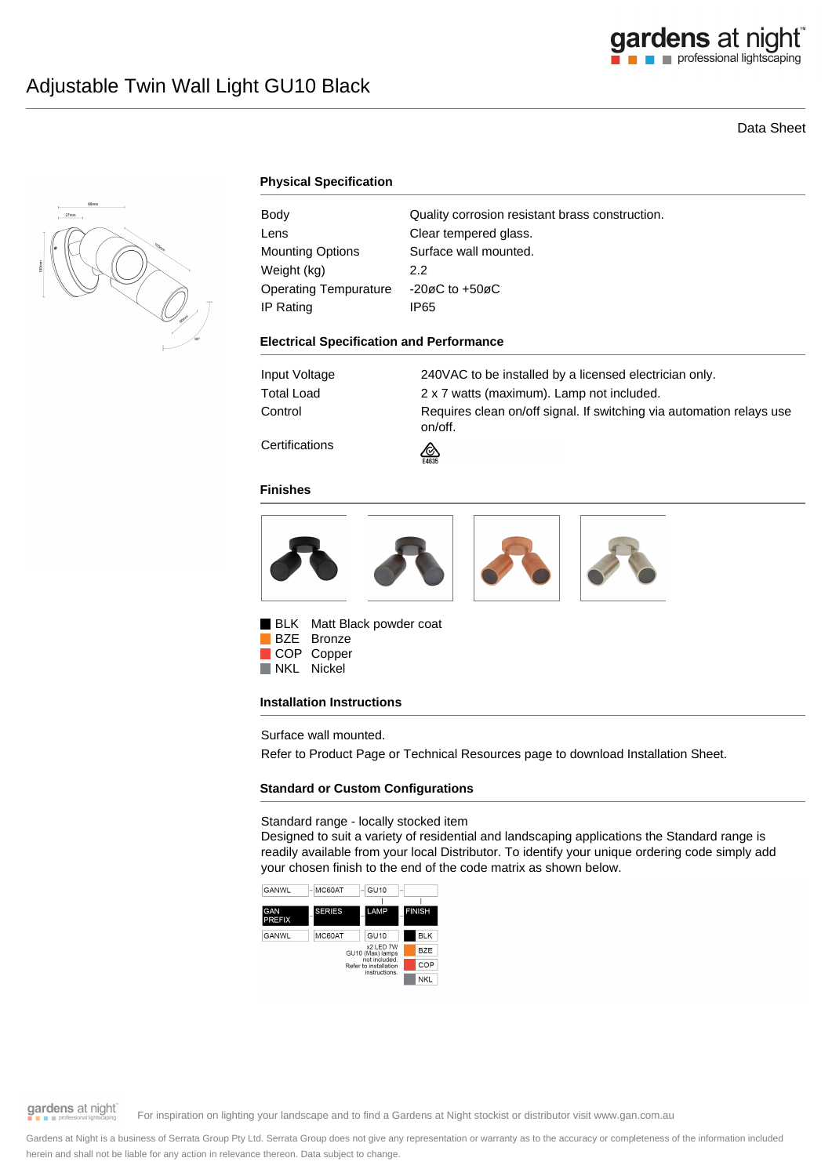# Data Sheet



# **Physical Specification**

| Body                         | Quality corrosion resistant brass construction. |
|------------------------------|-------------------------------------------------|
| Lens                         | Clear tempered glass.                           |
| Mounting Options             | Surface wall mounted.                           |
| Weight (kg)                  | 2.2                                             |
| <b>Operating Tempurature</b> | $-20\varnothing$ C to $+50\varnothing$ C        |
| IP Rating                    | IP65                                            |

### **Electrical Specification and Performance**

| Input Voltage        | 240VAC to be installed by a licensed electrician only.                          |
|----------------------|---------------------------------------------------------------------------------|
| Total Load           | 2 x 7 watts (maximum). Lamp not included.                                       |
| Control              | Requires clean on/off signal. If switching via automation relays use<br>on/off. |
| $\sim$ $\sim$ $\sim$ |                                                                                 |

**Certifications** 

### **Finishes**



⚠

BLK Matt Black powder coat BZE Bronze COP Copper NKL Nickel

### **Installation Instructions**

Surface wall mounted.

Refer to Product Page or Technical Resources page to download Installation Sheet.

# **Standard or Custom Configurations**

### Standard range - locally stocked item

Designed to suit a variety of residential and landscaping applications the Standard range is readily available from your local Distributor. To identify your unique ordering code simply add your chosen finish to the end of the code matrix as shown below.



gardens at night

For inspiration on lighting your landscape and to find a Gardens at Night stockist or distributor visit www.gan.com.au

Gardens at Night is a business of Serrata Group Pty Ltd. Serrata Group does not give any representation or warranty as to the accuracy or completeness of the information included herein and shall not be liable for any action in relevance thereon. Data subject to change.